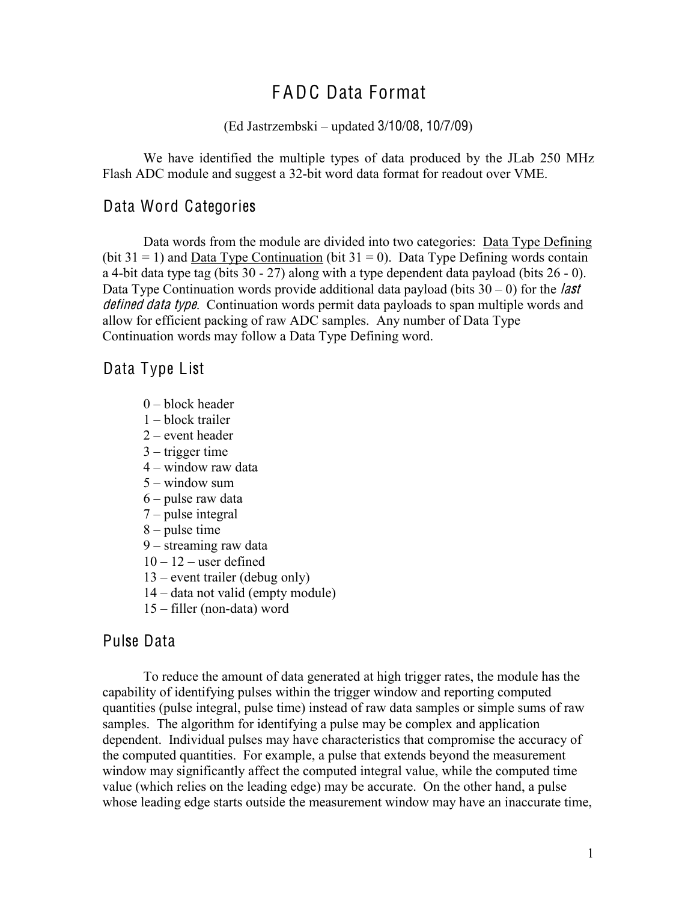# F ADC Data Format

#### (Ed Jastrzembski – updated 3/10/08, 10/7/09)

We have identified the multiple types of data produced by the JLab 250 MHz Flash ADC module and suggest a 32-bit word data format for readout over VME.

### Data Word Categories

Data words from the module are divided into two categories: Data Type Defining (bit  $31 = 1$ ) and Data Type Continuation (bit  $31 = 0$ ). Data Type Defining words contain a 4-bit data type tag (bits 30 - 27) along with a type dependent data payload (bits 26 - 0). Data Type Continuation words provide additional data payload (bits  $30 - 0$ ) for the *last* defined data type. Continuation words permit data payloads to span multiple words and allow for efficient packing of raw ADC samples. Any number of Data Type Continuation words may follow a Data Type Defining word.

Data Type List

- 0 block header
- 1 block trailer
- 2 event header
- 3 trigger time
- 4 window raw data
- $5 -$  window sum
- 6 pulse raw data
- 7 pulse integral
- 8 pulse time
- 9 streaming raw data
- $10 12$  user defined
- 13 event trailer (debug only)
- 14 data not valid (empty module)
- 15 filler (non-data) word

### Pulse Data

To reduce the amount of data generated at high trigger rates, the module has the capability of identifying pulses within the trigger window and reporting computed quantities (pulse integral, pulse time) instead of raw data samples or simple sums of raw samples. The algorithm for identifying a pulse may be complex and application dependent. Individual pulses may have characteristics that compromise the accuracy of the computed quantities. For example, a pulse that extends beyond the measurement window may significantly affect the computed integral value, while the computed time value (which relies on the leading edge) may be accurate. On the other hand, a pulse whose leading edge starts outside the measurement window may have an inaccurate time,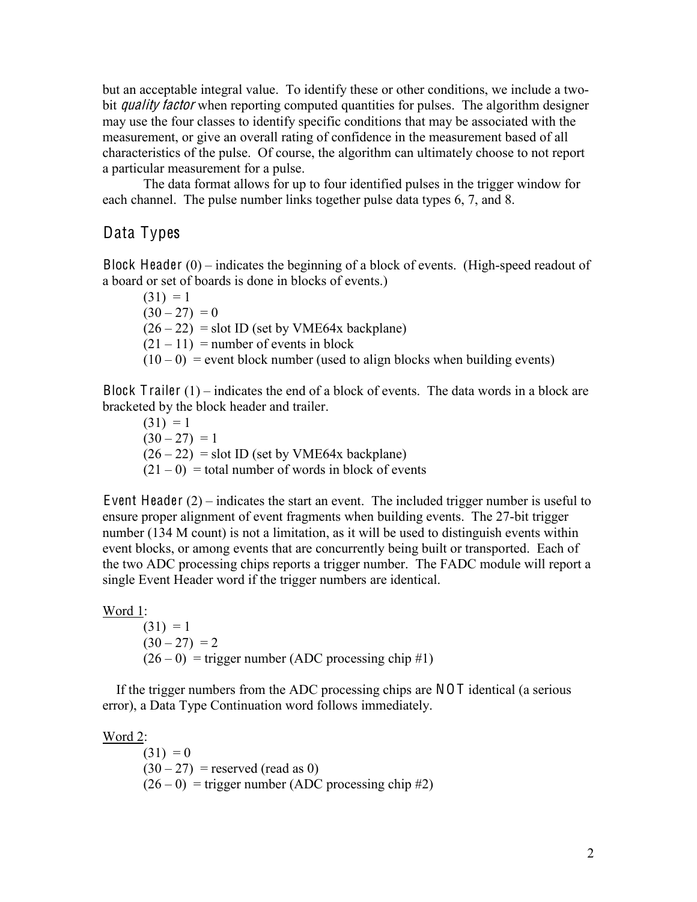but an acceptable integral value. To identify these or other conditions, we include a twobit *quality factor* when reporting computed quantities for pulses. The algorithm designer may use the four classes to identify specific conditions that may be associated with the measurement, or give an overall rating of confidence in the measurement based of all characteristics of the pulse. Of course, the algorithm can ultimately choose to not report a particular measurement for a pulse.

The data format allows for up to four identified pulses in the trigger window for each channel. The pulse number links together pulse data types 6, 7, and 8.

# Data Types

Block Header  $(0)$  – indicates the beginning of a block of events. (High-speed readout of a board or set of boards is done in blocks of events.)

 $(31) = 1$  $(30 - 27) = 0$  $(26 – 22)$  = slot ID (set by VME64x backplane)  $(21 – 11)$  = number of events in block  $(10-0)$  = event block number (used to align blocks when building events)

Block Trailer  $(1)$  – indicates the end of a block of events. The data words in a block are bracketed by the block header and trailer.

 $(31) = 1$  $(30 - 27) = 1$  $(26 – 22)$  = slot ID (set by VME64x backplane)  $(21 – 0)$  = total number of words in block of events

Event Header (2) – indicates the start an event. The included trigger number is useful to ensure proper alignment of event fragments when building events. The 27-bit trigger number (134 M count) is not a limitation, as it will be used to distinguish events within event blocks, or among events that are concurrently being built or transported. Each of the two ADC processing chips reports a trigger number. The FADC module will report a single Event Header word if the trigger numbers are identical.

#### Word 1:

 $(31) = 1$  $(30 - 27) = 2$  $(26 - 0)$  = trigger number (ADC processing chip #1)

 If the trigger numbers from the ADC processing chips are NO T identical (a serious error), a Data Type Continuation word follows immediately.

Word 2:

 $(31) = 0$  $(30-27)$  = reserved (read as 0)  $(26-0)$  = trigger number (ADC processing chip #2)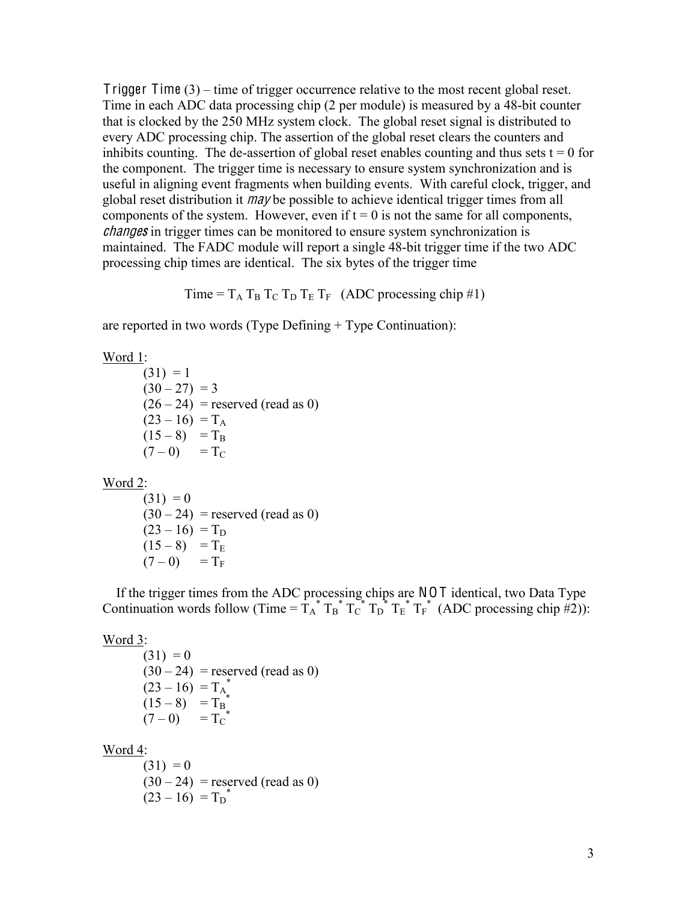T rigger Time (3) – time of trigger occurrence relative to the most recent global reset. Time in each ADC data processing chip (2 per module) is measured by a 48-bit counter that is clocked by the 250 MHz system clock. The global reset signal is distributed to every ADC processing chip. The assertion of the global reset clears the counters and inhibits counting. The de-assertion of global reset enables counting and thus sets  $t = 0$  for the component. The trigger time is necessary to ensure system synchronization and is useful in aligning event fragments when building events. With careful clock, trigger, and global reset distribution it may be possible to achieve identical trigger times from all components of the system. However, even if  $t = 0$  is not the same for all components, <sup>c</sup>hange<sup>s</sup> in trigger times can be monitored to ensure system synchronization is maintained. The FADC module will report a single 48-bit trigger time if the two ADC processing chip times are identical. The six bytes of the trigger time

Time =  $T_A T_B T_C T_D T_E T_F$  (ADC processing chip #1)

are reported in two words (Type Defining + Type Continuation):

Word 1:

 $(31) = 1$  $(30 - 27) = 3$  $(26 – 24)$  = reserved (read as 0)  $(23 - 16) = T_A$  $(15 - 8) = T_B$  $(7-0)$  = T<sub>C</sub>

Word 2:

 $(31) = 0$  $(30 - 24)$  = reserved (read as 0)  $(23 - 16) = T_D$  $(15 - 8) = T_E$  $(7-0) = T_F$ 

 If the trigger times from the ADC processing chips are NO T identical, two Data Type Continuation words follow (Time =  $T_A^* T_B^* T_C^* T_D^* T_E^* T_F^*$  (ADC processing chip #2)):

Word 3:

 $(31) = 0$  $(30 - 24)$  = reserved (read as 0)  $(23-16) = T_A^*$  $(15-8)$  = T<sub>B</sub><sup>\*</sup>  $(7-0)$  = T<sub>C</sub><sup>\*</sup>

Word 4:

 $(31) = 0$  $(30 - 24)$  = reserved (read as 0)  $(23-16) = T_D^*$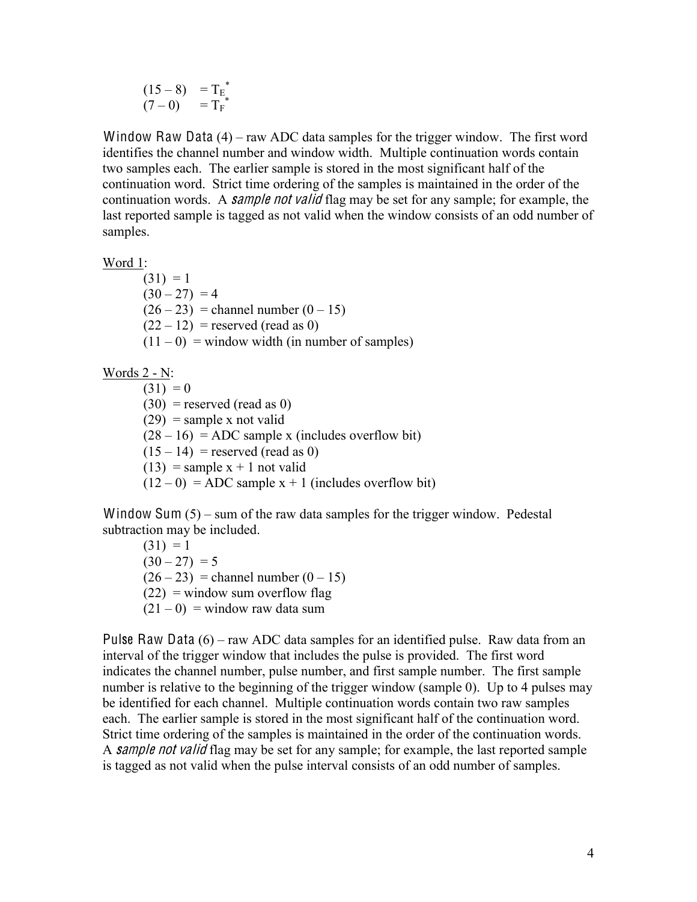$$
\begin{array}{cc} (15-8) & = T_E^* \\ (7-0) & = T_F^* \end{array}
$$

Window Raw Data (4) – raw ADC data samples for the trigger window. The first word identifies the channel number and window width. Multiple continuation words contain two samples each. The earlier sample is stored in the most significant half of the continuation word. Strict time ordering of the samples is maintained in the order of the continuation words. A *sample not valid* flag may be set for any sample; for example, the last reported sample is tagged as not valid when the window consists of an odd number of samples.

Word 1:

 $(31) = 1$  $(30 - 27) = 4$  $(26 – 23) =$ channel number  $(0 – 15)$  $(22 – 12)$  = reserved (read as 0)  $(11 – 0)$  = window width (in number of samples)

Words 2 - N:

 $(31) = 0$  $(30)$  = reserved (read as 0)  $(29)$  = sample x not valid  $(28 – 16) = ADC$  sample x (includes overflow bit)  $(15 - 14)$  = reserved (read as 0)  $(13)$  = sample x + 1 not valid  $(12-0)$  = ADC sample x + 1 (includes overflow bit)

Window Sum  $(5)$  – sum of the raw data samples for the trigger window. Pedestal subtraction may be included.

 $(31) = 1$  $(30 - 27) = 5$  $(26 – 23) =$ channel number  $(0 – 15)$  $(22)$  = window sum overflow flag  $(21 – 0)$  = window raw data sum

Pulse Raw Data  $(6)$  – raw ADC data samples for an identified pulse. Raw data from an interval of the trigger window that includes the pulse is provided. The first word indicates the channel number, pulse number, and first sample number. The first sample number is relative to the beginning of the trigger window (sample 0). Up to 4 pulses may be identified for each channel. Multiple continuation words contain two raw samples each. The earlier sample is stored in the most significant half of the continuation word. Strict time ordering of the samples is maintained in the order of the continuation words. A sample not valid flag may be set for any sample; for example, the last reported sample is tagged as not valid when the pulse interval consists of an odd number of samples.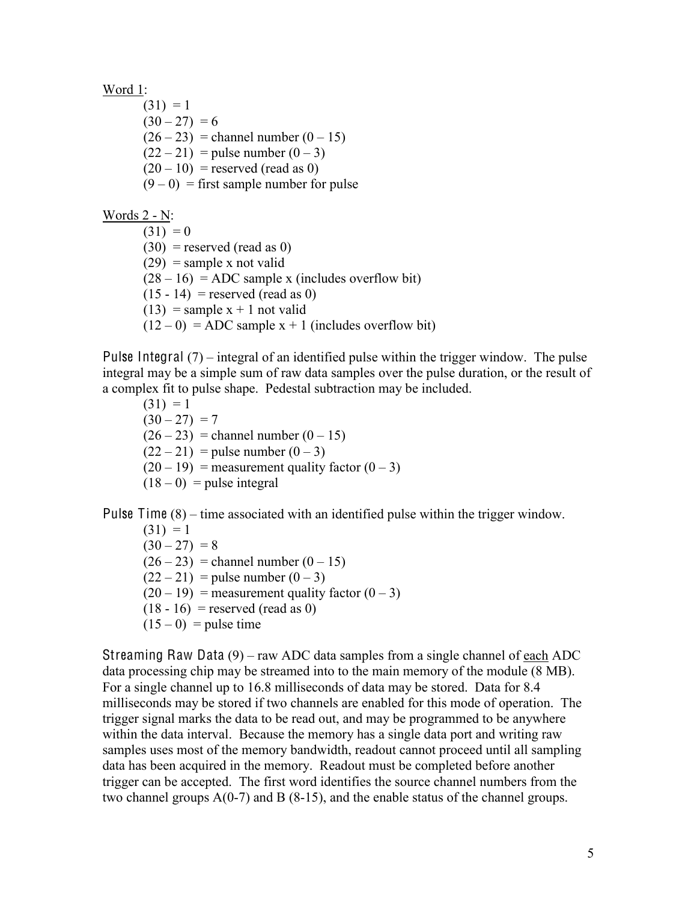Word 1:

 $(31) = 1$  $(30 - 27) = 6$  $(26 - 23)$  = channel number  $(0 - 15)$  $(22 - 21)$  = pulse number  $(0 - 3)$  $(20 - 10)$  = reserved (read as 0)  $(9-0)$  = first sample number for pulse

Words 2 - N:

 $(31) = 0$  $(30)$  = reserved (read as 0)  $(29)$  = sample x not valid  $(28 – 16) = ADC sample x (includes overflow bit)$  $(15 - 14)$  = reserved (read as 0)  $(13)$  = sample x + 1 not valid  $(12-0)$  = ADC sample x + 1 (includes overflow bit)

Pulse Integral (7) – integral of an identified pulse within the trigger window. The pulse integral may be a simple sum of raw data samples over the pulse duration, or the result of a complex fit to pulse shape. Pedestal subtraction may be included.

 $(31) = 1$  $(30 - 27) = 7$  $(26 – 23) =$ channel number  $(0 – 15)$  $(22 – 21)$  = pulse number  $(0 – 3)$  $(20 - 19)$  = measurement quality factor  $(0 - 3)$  $(18 - 0)$  = pulse integral

Pulse Time (8) – time associated with an identified pulse within the trigger window.

 $(31) = 1$  $(30 - 27) = 8$  $(26 - 23)$  = channel number  $(0 - 15)$  $(22 - 21)$  = pulse number  $(0 - 3)$  $(20 - 19)$  = measurement quality factor  $(0 - 3)$  $(18 - 16)$  = reserved (read as 0)  $(15-0)$  = pulse time

Streaming Raw Data (9) – raw ADC data samples from a single channel of each ADC data processing chip may be streamed into to the main memory of the module (8 MB). For a single channel up to 16.8 milliseconds of data may be stored. Data for 8.4 milliseconds may be stored if two channels are enabled for this mode of operation. The trigger signal marks the data to be read out, and may be programmed to be anywhere within the data interval. Because the memory has a single data port and writing raw samples uses most of the memory bandwidth, readout cannot proceed until all sampling data has been acquired in the memory. Readout must be completed before another trigger can be accepted. The first word identifies the source channel numbers from the two channel groups  $A(0-7)$  and B  $(8-15)$ , and the enable status of the channel groups.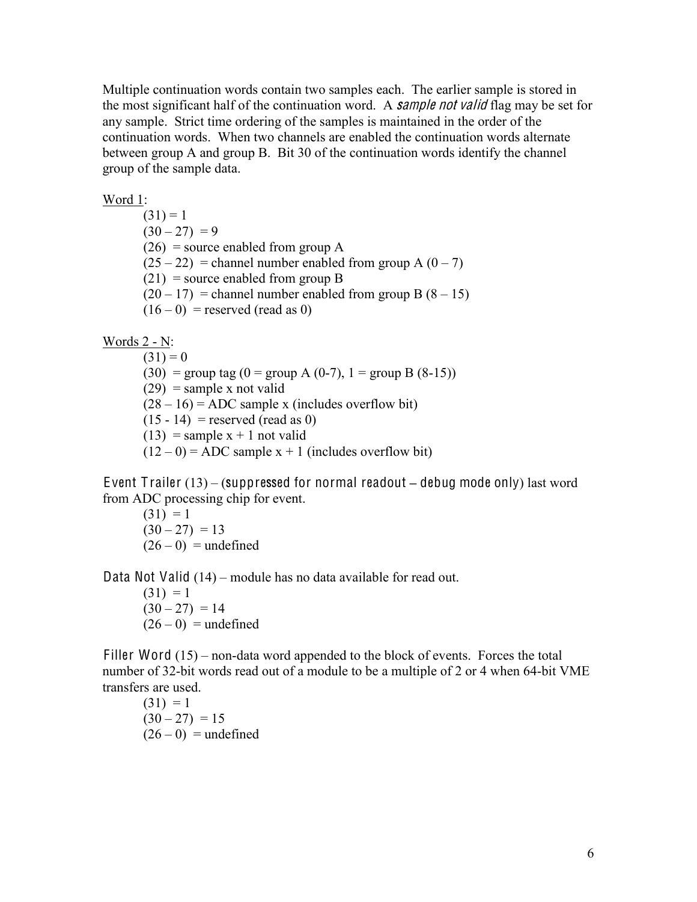Multiple continuation words contain two samples each. The earlier sample is stored in the most significant half of the continuation word. A **sample not valid** flag may be set for any sample. Strict time ordering of the samples is maintained in the order of the continuation words. When two channels are enabled the continuation words alternate between group A and group B. Bit 30 of the continuation words identify the channel group of the sample data.

Word 1:

 $(31) = 1$  $(30 - 27) = 9$  $(26)$  = source enabled from group A  $(25 – 22)$  = channel number enabled from group A  $(0 – 7)$  $(21)$  = source enabled from group B  $(20 - 17)$  = channel number enabled from group B  $(8 - 15)$  $(16 - 0)$  = reserved (read as 0)

Words 2 - N:

 $(31) = 0$ (30) = group tag (0 = group A (0-7), 1 = group B (8-15))  $(29)$  = sample x not valid  $(28 – 16) = ADC$  sample x (includes overflow bit)  $(15 - 14)$  = reserved (read as 0)  $(13)$  = sample x + 1 not valid  $(12 – 0) = ADC$  sample x + 1 (includes overflow bit)

Event T railer (13) – (suppressed for normal readout **–** debug mode only) last word from ADC processing chip for event.

 $(31) = 1$  $(30 - 27) = 13$  $(26 - 0)$  = undefined

Data Not Valid (14) – module has no data available for read out.  $(31) = 1$ 

> $(30 - 27) = 14$  $(26-0)$  = undefined

Filler Word (15) – non-data word appended to the block of events. Forces the total number of 32-bit words read out of a module to be a multiple of 2 or 4 when 64-bit VME transfers are used.

 $(31) = 1$  $(30 - 27) = 15$  $(26 - 0)$  = undefined